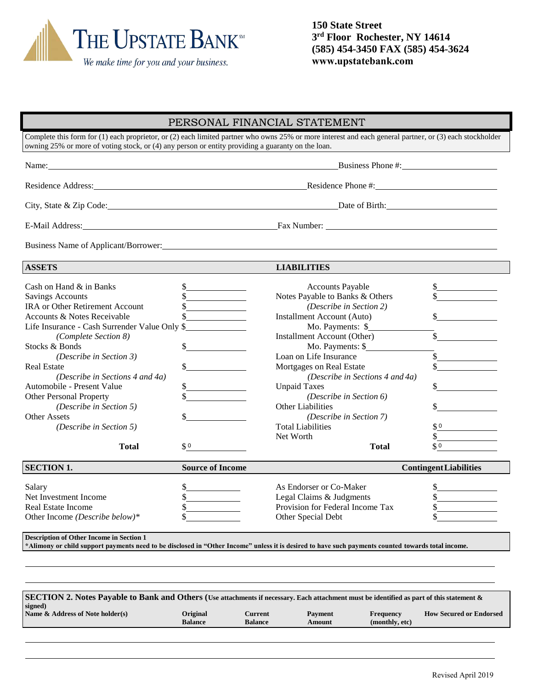

**150 State Street 3 rd Floor Rochester, NY 14614 (585) 454-3450 FAX (585) 454-3624 www.upstatebank.com**

## PERSONAL FINANCIAL STATEMENT

Complete this form for (1) each proprietor, or (2) each limited partner who owns 25% or more interest and each general partner, or (3) each stockholder owning 25% or more of voting stock, or (4) any person or entity providing a guaranty on the loan.

Name: Business Phone #: Business Phone #:

| Residence | Phone #:  |
|-----------|-----------|
| Address:  | Residence |

City, State & Zip Code: Date of Birth: Date of Birth:

E-Mail Address: Fax Number: Fax Number: Fax Number: Fax Number: Fax Number: Fax Number: Fax Number: Fax Number: Fax Number: Fax Number: Fax Number: Fax Number: Fax Number: Fax Number: Fax Number: Fax Number: Fax Number: Fa

Business Name of Applicant/Borrower:

**ASSETS LIABILITIES**

| <b>ASSETS</b>                                                                                                                                                                                         |                                                          | <b>LIABILITIES</b>               |        |  |  |  |  |  |
|-------------------------------------------------------------------------------------------------------------------------------------------------------------------------------------------------------|----------------------------------------------------------|----------------------------------|--------|--|--|--|--|--|
| Cash on Hand & in Banks                                                                                                                                                                               |                                                          | <b>Accounts Payable</b>          |        |  |  |  |  |  |
| <b>Savings Accounts</b>                                                                                                                                                                               |                                                          | Notes Payable to Banks & Others  |        |  |  |  |  |  |
| <b>IRA or Other Retirement Account</b>                                                                                                                                                                |                                                          | (Describe in Section 2)          |        |  |  |  |  |  |
| Accounts & Notes Receivable                                                                                                                                                                           |                                                          | Installment Account (Auto)       |        |  |  |  |  |  |
| Life Insurance - Cash Surrender Value Only \$                                                                                                                                                         |                                                          | Mo. Payments: \$                 |        |  |  |  |  |  |
| (Complete Section 8)                                                                                                                                                                                  |                                                          | Installment Account (Other)      |        |  |  |  |  |  |
| Stocks & Bonds                                                                                                                                                                                        |                                                          | Mo. Payments: \$                 |        |  |  |  |  |  |
| (Describe in Section 3)                                                                                                                                                                               |                                                          | Loan on Life Insurance           |        |  |  |  |  |  |
| <b>Real Estate</b>                                                                                                                                                                                    |                                                          | Mortgages on Real Estate         |        |  |  |  |  |  |
| (Describe in Sections 4 and 4a)                                                                                                                                                                       |                                                          | (Describe in Sections 4 and 4a)  |        |  |  |  |  |  |
| Automobile - Present Value                                                                                                                                                                            |                                                          | <b>Unpaid Taxes</b>              |        |  |  |  |  |  |
| Other Personal Property                                                                                                                                                                               |                                                          | (Describe in Section 6)          |        |  |  |  |  |  |
| (Describe in Section 5)                                                                                                                                                                               |                                                          | <b>Other Liabilities</b>         |        |  |  |  |  |  |
| <b>Other Assets</b>                                                                                                                                                                                   |                                                          | <i>(Describe in Section 7)</i>   |        |  |  |  |  |  |
| (Describe in Section 5)                                                                                                                                                                               |                                                          | <b>Total Liabilities</b>         | \$0    |  |  |  |  |  |
|                                                                                                                                                                                                       |                                                          | Net Worth                        |        |  |  |  |  |  |
| <b>Total</b>                                                                                                                                                                                          | $\upbeta$ 0                                              | <b>Total</b>                     | $\$$ 0 |  |  |  |  |  |
| <b>SECTION 1.</b>                                                                                                                                                                                     | <b>Source of Income</b><br><b>Contingent Liabilities</b> |                                  |        |  |  |  |  |  |
| Salary                                                                                                                                                                                                |                                                          | As Endorser or Co-Maker          |        |  |  |  |  |  |
| Net Investment Income                                                                                                                                                                                 |                                                          | Legal Claims & Judgments         |        |  |  |  |  |  |
| Real Estate Income                                                                                                                                                                                    |                                                          | Provision for Federal Income Tax |        |  |  |  |  |  |
| Other Income (Describe below)*                                                                                                                                                                        |                                                          | Other Special Debt               |        |  |  |  |  |  |
| <b>Description of Other Income in Section 1</b><br>*Alimony or child support payments need to be disclosed in "Other Income" unless it is desired to have such payments counted towards total income. |                                                          |                                  |        |  |  |  |  |  |

| SECTION 2. Notes Payable to Bank and Others (Use attachments if necessary. Each attachment must be identified as part of this statement & |                |                |                |                |                                |  |  |  |  |
|-------------------------------------------------------------------------------------------------------------------------------------------|----------------|----------------|----------------|----------------|--------------------------------|--|--|--|--|
| signed)<br>Name & Address of Note holder(s)                                                                                               | Original       | Current        | <b>Payment</b> | Frequency      | <b>How Secured or Endorsed</b> |  |  |  |  |
|                                                                                                                                           | <b>Balance</b> | <b>Balance</b> | Amount         | (monthly, etc) |                                |  |  |  |  |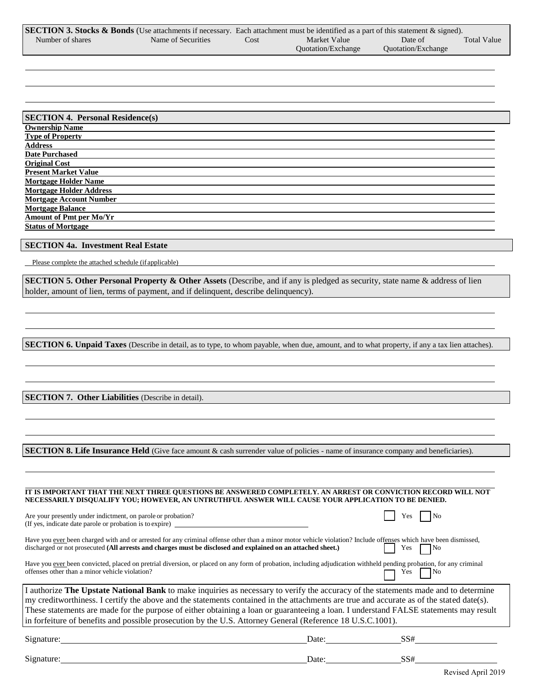|                  | <b>SECTION 3. Stocks &amp; Bonds</b> (Use attachments if necessary. Each attachment must be identified as a part of this statement & signed). |      |                           |                           |                    |
|------------------|-----------------------------------------------------------------------------------------------------------------------------------------------|------|---------------------------|---------------------------|--------------------|
| Number of shares | Name of Securities                                                                                                                            | Cost | Market Value              | Date of                   | <b>Total Value</b> |
|                  |                                                                                                                                               |      | <b>Ouotation/Exchange</b> | <b>Ouotation/Exchange</b> |                    |

| <b>SECTION 4. Personal Residence(s)</b> |
|-----------------------------------------|
| <b>Ownership Name</b>                   |
| <b>Type of Property</b>                 |
| <b>Address</b>                          |
| <b>Date Purchased</b>                   |
| <b>Original Cost</b>                    |
| <b>Present Market Value</b>             |
| <b>Mortgage Holder Name</b>             |
| <b>Mortgage Holder Address</b>          |
| <b>Mortgage Account Number</b>          |
| <b>Mortgage Balance</b>                 |
| Amount of Pmt per Mo/Yr                 |
| <b>Status of Mortgage</b>               |

## **SECTION 4a. Investment Real Estate**

Please complete the attached schedule (if applicable)

**SECTION 5. Other Personal Property & Other Assets** (Describe, and if any is pledged as security, state name & address of lien holder, amount of lien, terms of payment, and if delinquent, describe delinquency).

**SECTION 6. Unpaid Taxes** (Describe in detail, as to type, to whom payable, when due, amount, and to what property, if any a tax lien attaches).

**SECTION 7. Other Liabilities** (Describe in detail).

**SECTION 8. Life Insurance Held** (Give face amount & cash surrender value of policies - name of insurance company and beneficiaries).

| IT IS IMPORTANT THAT THE NEXT THREE QUESTIONS BE ANSWERED COMPLETELY. AN ARREST OR CONVICTION RECORD WILL NOT<br>NECESSARILY DISOUALIFY YOU; HOWEVER, AN UNTRUTHFUL ANSWER WILL CAUSE YOUR APPLICATION TO BE DENIED.                                                                                                                                                                                                                                                                                                                   |       |           |  |  |  |  |  |  |
|----------------------------------------------------------------------------------------------------------------------------------------------------------------------------------------------------------------------------------------------------------------------------------------------------------------------------------------------------------------------------------------------------------------------------------------------------------------------------------------------------------------------------------------|-------|-----------|--|--|--|--|--|--|
| Are your presently under indictment, on parole or probation?<br>(If yes, indicate date parole or probation is to expire)                                                                                                                                                                                                                                                                                                                                                                                                               |       | es?       |  |  |  |  |  |  |
| Have you ever been charged with and or arrested for any criminal offense other than a minor motor vehicle violation? Include offenses which have been dismissed,<br>discharged or not prosecuted (All arrests and charges must be disclosed and explained on an attached sheet.)                                                                                                                                                                                                                                                       |       | No<br>Yes |  |  |  |  |  |  |
| Have you ever been convicted, placed on pretrial diversion, or placed on any form of probation, including adjudication withheld pending probation, for any criminal<br>offenses other than a minor vehicle violation?                                                                                                                                                                                                                                                                                                                  |       | No<br>Yes |  |  |  |  |  |  |
| I authorize The Upstate National Bank to make inquiries as necessary to verify the accuracy of the statements made and to determine<br>my creditworthiness. I certify the above and the statements contained in the attachments are true and accurate as of the stated date(s).<br>These statements are made for the purpose of either obtaining a loan or guaranteeing a loan. I understand FALSE statements may result<br>in forfeiture of benefits and possible prosecution by the U.S. Attorney General (Reference 18 U.S.C.1001). |       |           |  |  |  |  |  |  |
| Signature:                                                                                                                                                                                                                                                                                                                                                                                                                                                                                                                             | Date: | SS#       |  |  |  |  |  |  |
| Signature:                                                                                                                                                                                                                                                                                                                                                                                                                                                                                                                             | Date: | SS#       |  |  |  |  |  |  |